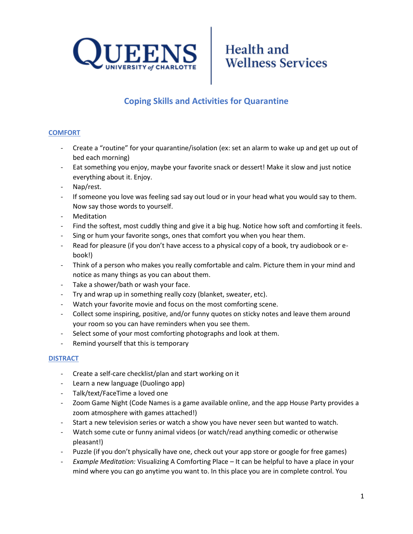



### **Coping Skills and Activities for Quarantine**

### **COMFORT**

- Create a "routine" for your quarantine/isolation (ex: set an alarm to wake up and get up out of bed each morning)
- Eat something you enjoy, maybe your favorite snack or dessert! Make it slow and just notice everything about it. Enjoy.
- Nap/rest.
- If someone you love was feeling sad say out loud or in your head what you would say to them. Now say those words to yourself.
- **Meditation**
- Find the softest, most cuddly thing and give it a big hug. Notice how soft and comforting it feels.
- Sing or hum your favorite songs, ones that comfort you when you hear them.
- Read for pleasure (if you don't have access to a physical copy of a book, try audiobook or ebook!)
- Think of a person who makes you really comfortable and calm. Picture them in your mind and notice as many things as you can about them.
- Take a shower/bath or wash your face.
- Try and wrap up in something really cozy (blanket, sweater, etc).
- Watch your favorite movie and focus on the most comforting scene.
- Collect some inspiring, positive, and/or funny quotes on sticky notes and leave them around your room so you can have reminders when you see them.
- Select some of your most comforting photographs and look at them.
- Remind yourself that this is temporary

#### **DISTRACT**

- Create a self-care checklist/plan and start working on it
- Learn a new language (Duolingo app)
- Talk/text/FaceTime a loved one
- Zoom Game Night (Code Names is a game available online, and the app House Party provides a zoom atmosphere with games attached!)
- Start a new television series or watch a show you have never seen but wanted to watch.
- Watch some cute or funny animal videos (or watch/read anything comedic or otherwise pleasant!)
- Puzzle (if you don't physically have one, check out your app store or google for free games)
- *Example Meditation:* Visualizing A Comforting Place It can be helpful to have a place in your mind where you can go anytime you want to. In this place you are in complete control. You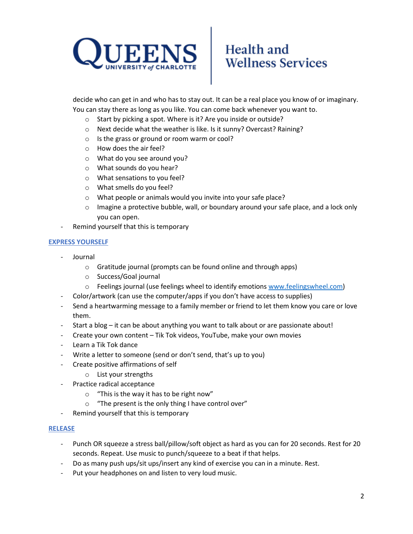

# Health and **Wellness Services**

decide who can get in and who has to stay out. It can be a real place you know of or imaginary. You can stay there as long as you like. You can come back whenever you want to.

- o Start by picking a spot. Where is it? Are you inside or outside?
- o Next decide what the weather is like. Is it sunny? Overcast? Raining?
- o Is the grass or ground or room warm or cool?
- o How does the air feel?
- o What do you see around you?
- o What sounds do you hear?
- o What sensations to you feel?
- o What smells do you feel?
- o What people or animals would you invite into your safe place?
- $\circ$  Imagine a protective bubble, wall, or boundary around your safe place, and a lock only you can open.
- Remind yourself that this is temporary

### **EXPRESS YOURSELF**

- Journal
	- o Gratitude journal (prompts can be found online and through apps)
	- o Success/Goal journal
	- o Feelings journal (use feelings wheel to identify emotions [www.feelingswheel.com\)](http://www.feelingswheel.com/)
- Color/artwork (can use the computer/apps if you don't have access to supplies)
- Send a heartwarming message to a family member or friend to let them know you care or love them.
- Start a blog it can be about anything you want to talk about or are passionate about!
- Create your own content Tik Tok videos, YouTube, make your own movies
- Learn a Tik Tok dance
- Write a letter to someone (send or don't send, that's up to you)
	- Create positive affirmations of self
		- o List your strengths
- Practice radical acceptance
	- o "This is the way it has to be right now"
	- o "The present is the only thing I have control over"
- Remind yourself that this is temporary

#### **RELEASE**

- Punch OR squeeze a stress ball/pillow/soft object as hard as you can for 20 seconds. Rest for 20 seconds. Repeat. Use music to punch/squeeze to a beat if that helps.
- Do as many push ups/sit ups/insert any kind of exercise you can in a minute. Rest.
- Put your headphones on and listen to very loud music.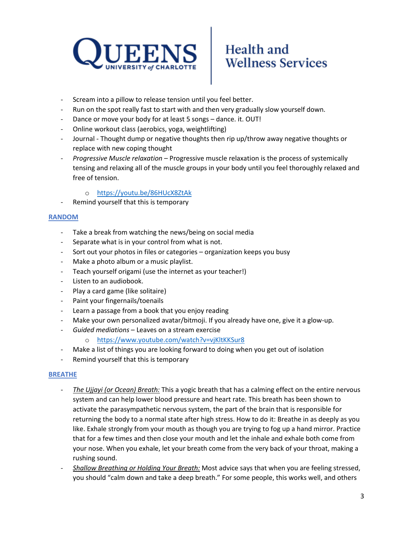

# Health and **Wellness Services**

- Scream into a pillow to release tension until you feel better.
- Run on the spot really fast to start with and then very gradually slow yourself down.
- Dance or move your body for at least 5 songs dance. it. OUT!
- Online workout class (aerobics, yoga, weightlifting)
- Journal Thought dump or negative thoughts then rip up/throw away negative thoughts or replace with new coping thought
- *Progressive Muscle relaxation* Progressive muscle relaxation is the process of systemically tensing and relaxing all of the muscle groups in your body until you feel thoroughly relaxed and free of tension.
	- o <https://youtu.be/86HUcX8ZtAk>
- Remind yourself that this is temporary

#### **RANDOM**

- Take a break from watching the news/being on social media
- Separate what is in your control from what is not.
- Sort out your photos in files or categories organization keeps you busy
- Make a photo album or a music playlist.
- Teach yourself origami (use the internet as your teacher!)
- Listen to an audiobook.
- Play a card game (like solitaire)
- Paint your fingernails/toenails
- Learn a passage from a book that you enjoy reading
- Make your own personalized avatar/bitmoji. If you already have one, give it a glow-up.
- *Guided mediations* Leaves on a stream exercise
	- o <https://www.youtube.com/watch?v=vjKltKKSur8>
- Make a list of things you are looking forward to doing when you get out of isolation
- Remind yourself that this is temporary

#### **BREATHE**

- *The Ujjayi (or Ocean) Breath:* This a yogic breath that has a calming effect on the entire nervous system and can help lower blood pressure and heart rate. This breath has been shown to activate the parasympathetic nervous system, the part of the brain that is responsible for returning the body to a normal state after high stress. How to do it: Breathe in as deeply as you like. Exhale strongly from your mouth as though you are trying to fog up a hand mirror. Practice that for a few times and then close your mouth and let the inhale and exhale both come from your nose. When you exhale, let your breath come from the very back of your throat, making a rushing sound.
- *Shallow Breathing or Holding Your Breath:* Most advice says that when you are feeling stressed, you should "calm down and take a deep breath." For some people, this works well, and others